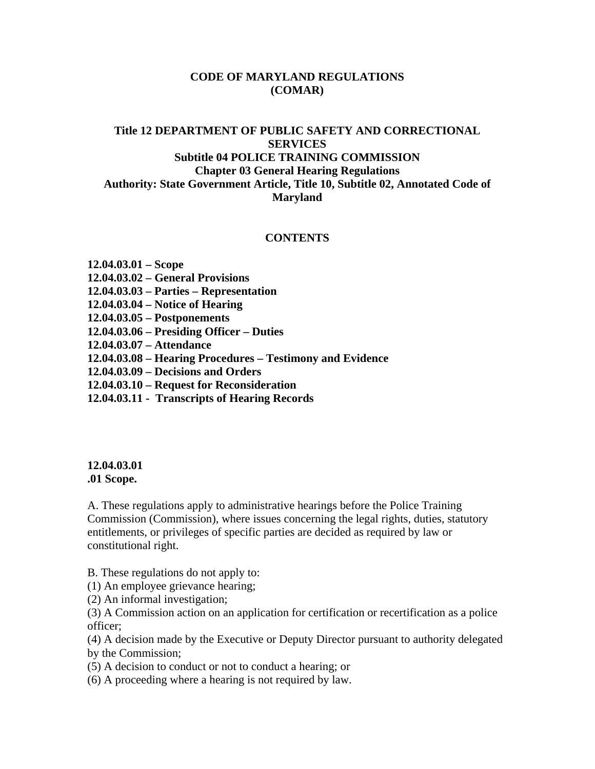### **CODE OF MARYLAND REGULATIONS (COMAR)**

## **Title 12 DEPARTMENT OF PUBLIC SAFETY AND CORRECTIONAL SERVICES Subtitle 04 POLICE TRAINING COMMISSION Chapter 03 General Hearing Regulations Authority: State Government Article, Title 10, Subtitle 02, Annotated Code of Maryland**

#### **CONTENTS**

#### **12.04.03.01 – Scope**

- **12.04.03.02 General Provisions**
- **12.04.03.03 Parties Representation**
- **12.04.03.04 Notice of Hearing**
- **12.04.03.05 Postponements**
- **12.04.03.06 Presiding Officer Duties**
- **12.04.03.07 Attendance**
- **12.04.03.08 Hearing Procedures Testimony and Evidence**
- **12.04.03.09 Decisions and Orders**
- **12.04.03.10 Request for Reconsideration**
- **12.04.03.11 Transcripts of Hearing Records**

#### **12.04.03.01 .01 Scope.**

A. These regulations apply to administrative hearings before the Police Training Commission (Commission), where issues concerning the legal rights, duties, statutory entitlements, or privileges of specific parties are decided as required by law or constitutional right.

B. These regulations do not apply to:

(1) An employee grievance hearing;

(2) An informal investigation;

(3) A Commission action on an application for certification or recertification as a police officer;

(4) A decision made by the Executive or Deputy Director pursuant to authority delegated by the Commission;

- (5) A decision to conduct or not to conduct a hearing; or
- (6) A proceeding where a hearing is not required by law.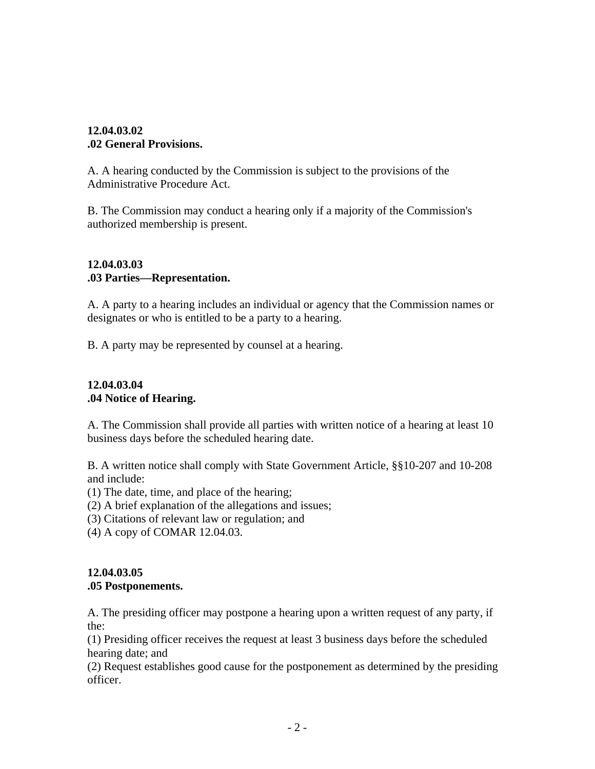## **12.04.03.02 .02 General Provisions.**

A. A hearing conducted by the Commission is subject to the provisions of the Administrative Procedure Act.

B. The Commission may conduct a hearing only if a majority of the Commission's authorized membership is present.

## **12.04.03.03 .03 Parties—Representation.**

A. A party to a hearing includes an individual or agency that the Commission names or designates or who is entitled to be a party to a hearing.

B. A party may be represented by counsel at a hearing.

## **12.04.03.04 .04 Notice of Hearing.**

A. The Commission shall provide all parties with written notice of a hearing at least 10 business days before the scheduled hearing date.

B. A written notice shall comply with State Government Article, §§10-207 and 10-208 and include:

- (1) The date, time, and place of the hearing;
- (2) A brief explanation of the allegations and issues;
- (3) Citations of relevant law or regulation; and
- (4) A copy of COMAR 12.04.03.

## **12.04.03.05 .05 Postponements.**

A. The presiding officer may postpone a hearing upon a written request of any party, if the:

(1) Presiding officer receives the request at least 3 business days before the scheduled hearing date; and

(2) Request establishes good cause for the postponement as determined by the presiding officer.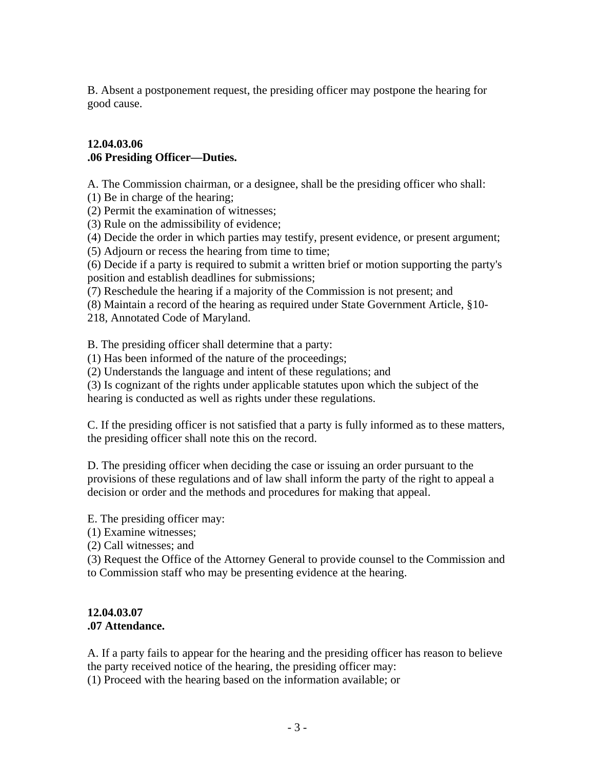B. Absent a postponement request, the presiding officer may postpone the hearing for good cause.

#### **12.04.03.06 .06 Presiding Officer—Duties.**

A. The Commission chairman, or a designee, shall be the presiding officer who shall:

(1) Be in charge of the hearing;

(2) Permit the examination of witnesses;

(3) Rule on the admissibility of evidence;

(4) Decide the order in which parties may testify, present evidence, or present argument;

(5) Adjourn or recess the hearing from time to time;

(6) Decide if a party is required to submit a written brief or motion supporting the party's position and establish deadlines for submissions;

(7) Reschedule the hearing if a majority of the Commission is not present; and

(8) Maintain a record of the hearing as required under State Government Article, §10-

218, Annotated Code of Maryland.

B. The presiding officer shall determine that a party:

(1) Has been informed of the nature of the proceedings;

(2) Understands the language and intent of these regulations; and

(3) Is cognizant of the rights under applicable statutes upon which the subject of the hearing is conducted as well as rights under these regulations.

C. If the presiding officer is not satisfied that a party is fully informed as to these matters, the presiding officer shall note this on the record.

D. The presiding officer when deciding the case or issuing an order pursuant to the provisions of these regulations and of law shall inform the party of the right to appeal a decision or order and the methods and procedures for making that appeal.

E. The presiding officer may:

(1) Examine witnesses;

(2) Call witnesses; and

(3) Request the Office of the Attorney General to provide counsel to the Commission and to Commission staff who may be presenting evidence at the hearing.

#### **12.04.03.07 .07 Attendance.**

A. If a party fails to appear for the hearing and the presiding officer has reason to believe the party received notice of the hearing, the presiding officer may:

(1) Proceed with the hearing based on the information available; or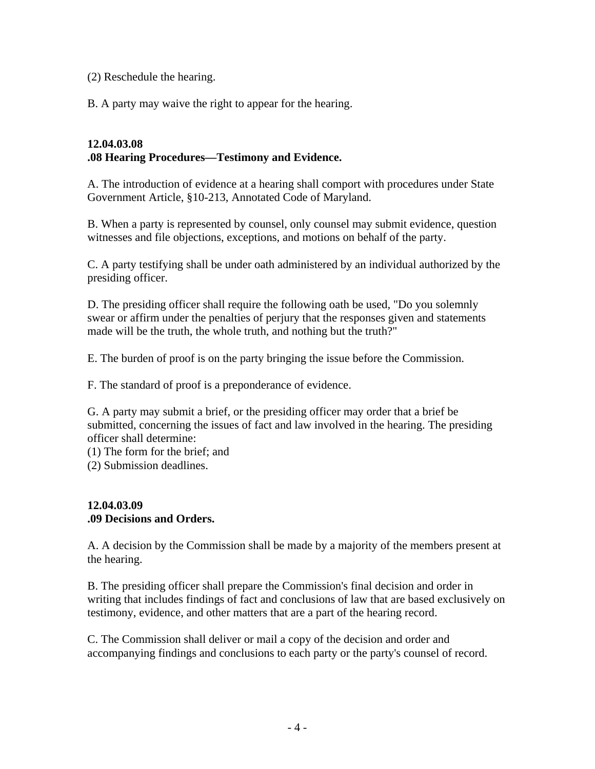(2) Reschedule the hearing.

B. A party may waive the right to appear for the hearing.

#### **12.04.03.08 .08 Hearing Procedures—Testimony and Evidence.**

A. The introduction of evidence at a hearing shall comport with procedures under State Government Article, §10-213, Annotated Code of Maryland.

B. When a party is represented by counsel, only counsel may submit evidence, question witnesses and file objections, exceptions, and motions on behalf of the party.

C. A party testifying shall be under oath administered by an individual authorized by the presiding officer.

D. The presiding officer shall require the following oath be used, "Do you solemnly swear or affirm under the penalties of perjury that the responses given and statements made will be the truth, the whole truth, and nothing but the truth?"

E. The burden of proof is on the party bringing the issue before the Commission.

F. The standard of proof is a preponderance of evidence.

G. A party may submit a brief, or the presiding officer may order that a brief be submitted, concerning the issues of fact and law involved in the hearing. The presiding officer shall determine:

(1) The form for the brief; and

(2) Submission deadlines.

## **12.04.03.09 .09 Decisions and Orders.**

A. A decision by the Commission shall be made by a majority of the members present at the hearing.

B. The presiding officer shall prepare the Commission's final decision and order in writing that includes findings of fact and conclusions of law that are based exclusively on testimony, evidence, and other matters that are a part of the hearing record.

C. The Commission shall deliver or mail a copy of the decision and order and accompanying findings and conclusions to each party or the party's counsel of record.